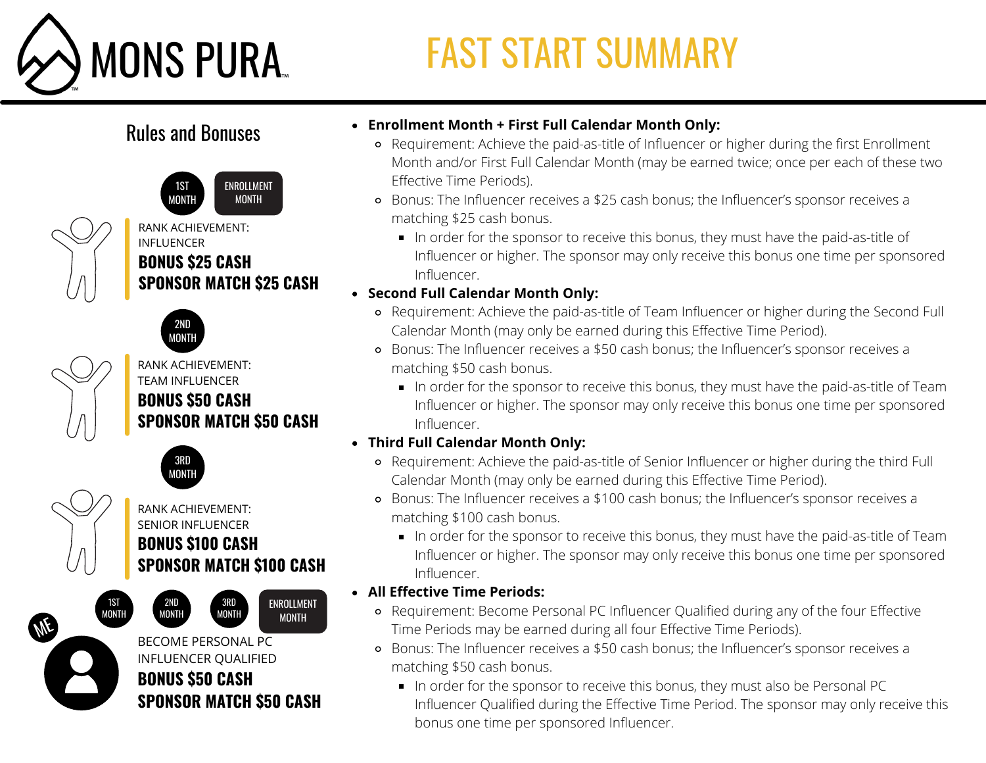

# FAST START SUMMARY

### Rules and Bonuses



#### RANK ACHIEVEMENT: INFLUENCER **BONUS \$25 CASH SPONSOR MATCH \$25 CASH**



#### RANK ACHIEVEMENT: TEAM INFLUENCER **BONUS \$50 CASH SPONSOR MATCH \$50 CASH**



#### RANK ACHIEVEMENT: SENIOR INFLUENCER **BONUS \$100 CASH SPONSOR MATCH \$100 CASH**

3RD MONTH ENROLLMENT MONTH

1ST MONTH 2ND MONTH

**ME** 

BECOME PERSONAL PC INFLUENCER QUALIFIED **BONUS \$50 CASH SPONSOR MATCH \$50 CASH**

- **Enrollment Month + First Full Calendar Month Only:**
	- Requirement: Achieve the paid-as-title of Influencer or higher during the first Enrollment Month and/or First Full Calendar Month (may be earned twice; once per each of these two Effective Time Periods).
	- Bonus: The Influencer receives a \$25 cash bonus; the Influencer's sponsor receives a matching \$25 cash bonus.
		- In order for the sponsor to receive this bonus, they must have the paid-as-title of Influencer or higher. The sponsor may only receive this bonus one time per sponsored Influencer.

#### **Second Full Calendar Month Only:**

- Requirement: Achieve the paid-as-title of Team Influencer or higher during the Second Full Calendar Month (may only be earned during this Effective Time Period).
- Bonus: The Influencer receives a \$50 cash bonus; the Influencer's sponsor receives a matching \$50 cash bonus.
	- In order for the sponsor to receive this bonus, they must have the paid-as-title of Team Influencer or higher. The sponsor may only receive this bonus one time per sponsored Influencer.
- **Third Full Calendar Month Only:**
	- Requirement: Achieve the paid-as-title of Senior Influencer or higher during the third Full Calendar Month (may only be earned during this Effective Time Period).
	- Bonus: The Influencer receives a \$100 cash bonus; the Influencer's sponsor receives a matching \$100 cash bonus.
		- In order for the sponsor to receive this bonus, they must have the paid-as-title of Team Influencer or higher. The sponsor may only receive this bonus one time per sponsored Influencer.

#### **All Effective Time Periods:**

- Requirement: Become Personal PC Influencer Qualified during any of the four Effective Time Periods may be earned during all four Effective Time Periods).
- Bonus: The Influencer receives a \$50 cash bonus; the Influencer's sponsor receives a matching \$50 cash bonus.
	- In order for the sponsor to receive this bonus, they must also be Personal PC Influencer Qualified during the Effective Time Period. The sponsor may only receive this bonus one time per sponsored Influencer.